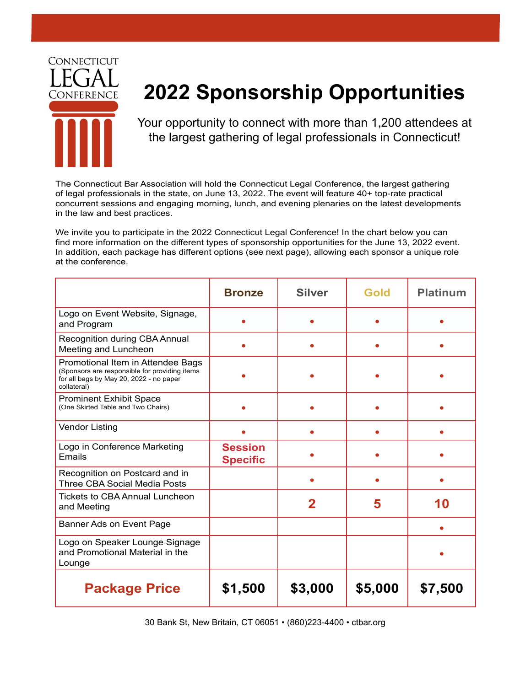

## **2022 Sponsorship Opportunities**

Your opportunity to connect with more than 1,200 attendees at the largest gathering of legal professionals in Connecticut!

The Connecticut Bar Association will hold the Connecticut Legal Conference, the largest gathering of legal professionals in the state, on June 13, 2022. The event will feature 40+ top-rate practical concurrent sessions and engaging morning, lunch, and evening plenaries on the latest developments in the law and best practices.

We invite you to participate in the 2022 Connecticut Legal Conference! In the chart below you can find more information on the different types of sponsorship opportunities for the June 13, 2022 event. In addition, each package has different options (see next page), allowing each sponsor a unique role at the conference.

|                                                                                                                                              | <b>Bronze</b>                     | <b>Silver</b>           | Gold    | <b>Platinum</b> |
|----------------------------------------------------------------------------------------------------------------------------------------------|-----------------------------------|-------------------------|---------|-----------------|
| Logo on Event Website, Signage,<br>and Program                                                                                               |                                   |                         |         |                 |
| Recognition during CBA Annual<br>Meeting and Luncheon                                                                                        |                                   |                         |         |                 |
| Promotional Item in Attendee Bags<br>(Sponsors are responsible for providing items<br>for all bags by May 20, 2022 - no paper<br>collateral) |                                   |                         |         |                 |
| <b>Prominent Exhibit Space</b><br>(One Skirted Table and Two Chairs)                                                                         |                                   |                         |         |                 |
| <b>Vendor Listing</b>                                                                                                                        |                                   |                         |         |                 |
| Logo in Conference Marketing<br>Emails                                                                                                       | <b>Session</b><br><b>Specific</b> |                         |         |                 |
| Recognition on Postcard and in<br><b>Three CBA Social Media Posts</b>                                                                        |                                   |                         |         |                 |
| <b>Tickets to CBA Annual Luncheon</b><br>and Meeting                                                                                         |                                   | $\overline{\mathbf{2}}$ | 5       | 10              |
| Banner Ads on Event Page                                                                                                                     |                                   |                         |         |                 |
| Logo on Speaker Lounge Signage<br>and Promotional Material in the<br>Lounge                                                                  |                                   |                         |         |                 |
| <b>Package Price</b>                                                                                                                         | \$1,500                           | \$3,000                 | \$5,000 | \$7,500         |